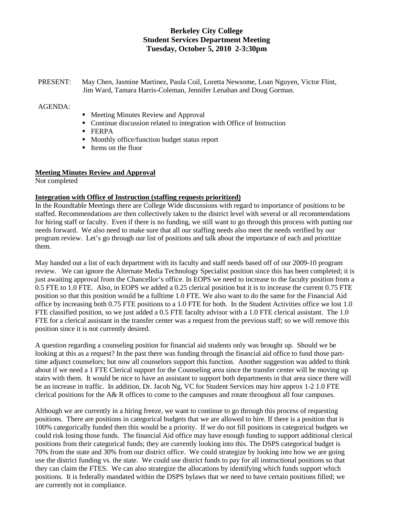# **Berkeley City College Student Services Department Meeting Tuesday, October 5, 2010 2-3:30pm**

PRESENT: May Chen, Jasmine Martinez, Paula Coil, Loretta Newsome, Loan Nguyen, Victor Flint, Jim Ward, Tamara Harris-Coleman, Jennifer Lenahan and Doug Gorman.

#### AGENDA:

- Meeting Minutes Review and Approval
- Continue discussion related to integration with Office of Instruction
- **FERPA**
- **Monthly office/function budget status report**
- Items on the floor

# **Meeting Minutes Review and Approval**

Not completed

#### **Integration with Office of Instruction (staffing requests prioritized)**

In the Roundtable Meetings there are College Wide discussions with regard to importance of positions to be staffed. Recommendations are then collectively taken to the district level with several or all recommendations for hiring staff or faculty. Even if there is no funding, we still want to go through this process with putting our needs forward. We also need to make sure that all our staffing needs also meet the needs verified by our program review. Let's go through our list of positions and talk about the importance of each and prioritize them.

May handed out a list of each department with its faculty and staff needs based off of our 2009-10 program review. We can ignore the Alternate Media Technology Specialist position since this has been completed; it is just awaiting approval from the Chancellor's office. In EOPS we need to increase to the faculty position from a 0.5 FTE to 1.0 FTE. Also, in EOPS we added a 0.25 clerical position but it is to increase the current 0.75 FTE position so that this position would be a fulltime 1.0 FTE. We also want to do the same for the Financial Aid office by increasing both 0.75 FTE positions to a 1.0 FTE for both. In the Student Activities office we lost 1.0 FTE classified position, so we just added a 0.5 FTE faculty advisor with a 1.0 FTE clerical assistant. The 1.0 FTE for a clerical assistant in the transfer center was a request from the previous staff; so we will remove this position since it is not currently desired.

A question regarding a counseling position for financial aid students only was brought up. Should we be looking at this as a request? In the past there was funding through the financial aid office to fund those parttime adjunct counselors; but now all counselors support this function. Another suggestion was added to think about if we need a 1 FTE Clerical support for the Counseling area since the transfer center will be moving up stairs with them. It would be nice to have an assistant to support both departments in that area since there will be an increase in traffic. In addition, Dr. Jacob Ng, VC for Student Services may hire approx 1-2 1.0 FTE clerical positions for the A& R offices to come to the campuses and rotate throughout all four campuses.

Although we are currently in a hiring freeze, we want to continue to go through this process of requesting positions. There are positions in categorical budgets that we are allowed to hire. If there is a position that is 100% categorically funded then this would be a priority. If we do not fill positions in categorical budgets we could risk losing those funds. The financial Aid office may have enough funding to support additional clerical positions from their categorical funds; they are currently looking into this. The DSPS categorical budget is 70% from the state and 30% from our district office. We could strategize by looking into how we are going use the district funding vs. the state. We could use district funds to pay for all instructional positions so that they can claim the FTES. We can also strategize the allocations by identifying which funds support which positions. It is federally mandated within the DSPS bylaws that we need to have certain positions filled; we are currently not in compliance.